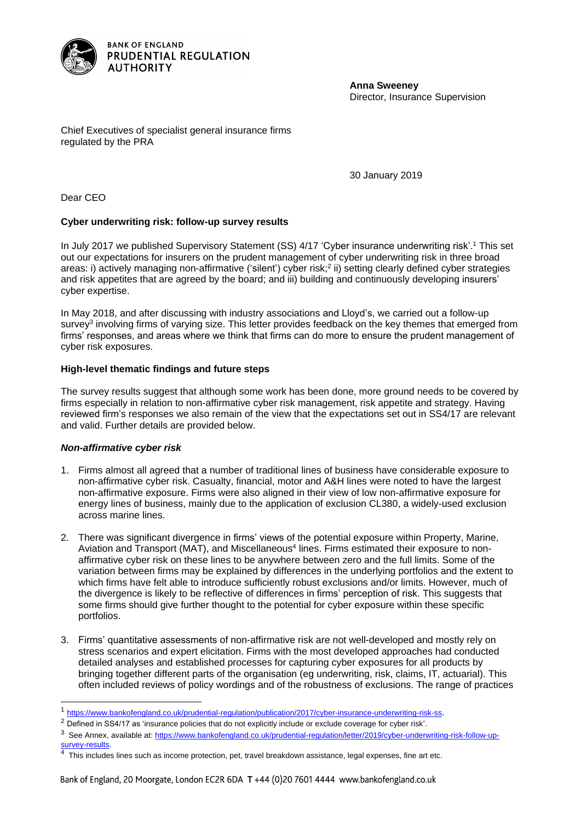

**Anna Sweeney** Director, Insurance Supervision

Chief Executives of specialist general insurance firms regulated by the PRA

30 January 2019

Dear CEO

# **Cyber underwriting risk: follow-up survey results**

In July 2017 we published Supervisory Statement (SS) 4/17 'Cyber insurance underwriting risk'.<sup>1</sup> This set out our expectations for insurers on the prudent management of cyber underwriting risk in three broad areas: i) actively managing non-affirmative ('silent') cyber risk;<sup>2</sup> ii) setting clearly defined cyber strategies and risk appetites that are agreed by the board; and iii) building and continuously developing insurers' cyber expertise.

In May 2018, and after discussing with industry associations and Lloyd's, we carried out a follow-up survey<sup>3</sup> involving firms of varying size. This letter provides feedback on the key themes that emerged from firms' responses, and areas where we think that firms can do more to ensure the prudent management of cyber risk exposures.

# **High-level thematic findings and future steps**

The survey results suggest that although some work has been done, more ground needs to be covered by firms especially in relation to non-affirmative cyber risk management, risk appetite and strategy. Having reviewed firm's responses we also remain of the view that the expectations set out in SS4/17 are relevant and valid. Further details are provided below.

### *Non-affirmative cyber risk*

l

- 1. Firms almost all agreed that a number of traditional lines of business have considerable exposure to non-affirmative cyber risk. Casualty, financial, motor and A&H lines were noted to have the largest non-affirmative exposure. Firms were also aligned in their view of low non-affirmative exposure for energy lines of business, mainly due to the application of exclusion CL380, a widely-used exclusion across marine lines.
- 2. There was significant divergence in firms' views of the potential exposure within Property, Marine, Aviation and Transport (MAT), and Miscellaneous<sup>4</sup> lines. Firms estimated their exposure to nonaffirmative cyber risk on these lines to be anywhere between zero and the full limits. Some of the variation between firms may be explained by differences in the underlying portfolios and the extent to which firms have felt able to introduce sufficiently robust exclusions and/or limits. However, much of the divergence is likely to be reflective of differences in firms' perception of risk. This suggests that some firms should give further thought to the potential for cyber exposure within these specific portfolios.
- 3. Firms' quantitative assessments of non-affirmative risk are not well-developed and mostly rely on stress scenarios and expert elicitation. Firms with the most developed approaches had conducted detailed analyses and established processes for capturing cyber exposures for all products by bringing together different parts of the organisation (eg underwriting, risk, claims, IT, actuarial). This often included reviews of policy wordings and of the robustness of exclusions. The range of practices

<sup>&</sup>lt;sup>1</sup> <https://www.bankofengland.co.uk/prudential-regulation/publication/2017/cyber-insurance-underwriting-risk-ss>.

<sup>&</sup>lt;sup>2</sup> Defined in SS4/17 as 'insurance policies that do not explicitly include or exclude coverage for cyber risk'.

<sup>&</sup>lt;sup>3</sup> See Annex, available at: [https://www.bankofengland.co.uk/prudential-regulation/letter/2019/cyber-underwriting-risk-follow-up](https://www.bankofengland.co.uk/prudential-regulation/letter/2019/cyber-underwriting-risk-follow-up-survey-results)[survey-results.](https://www.bankofengland.co.uk/prudential-regulation/letter/2019/cyber-underwriting-risk-follow-up-survey-results)

 $\overline{4}$  This includes lines such as income protection, pet, travel breakdown assistance, legal expenses, fine art etc.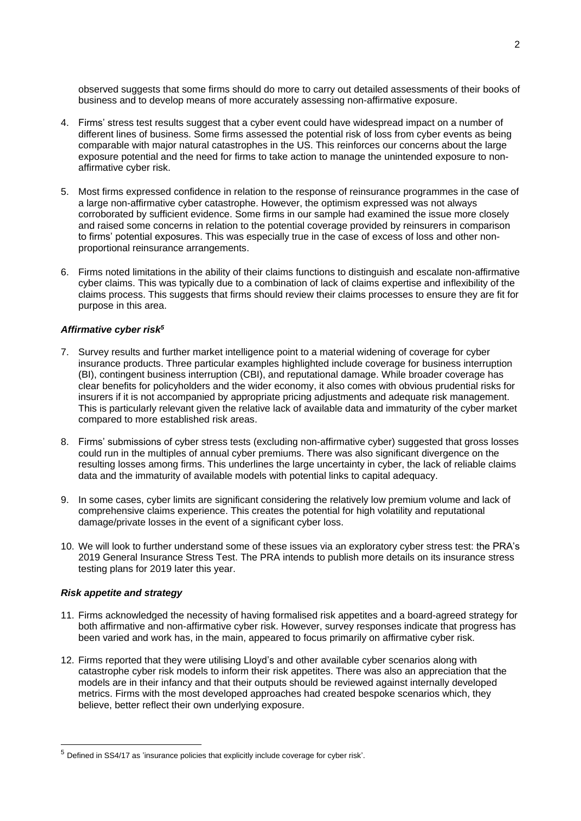observed suggests that some firms should do more to carry out detailed assessments of their books of business and to develop means of more accurately assessing non-affirmative exposure.

- 4. Firms' stress test results suggest that a cyber event could have widespread impact on a number of different lines of business. Some firms assessed the potential risk of loss from cyber events as being comparable with major natural catastrophes in the US. This reinforces our concerns about the large exposure potential and the need for firms to take action to manage the unintended exposure to nonaffirmative cyber risk.
- 5. Most firms expressed confidence in relation to the response of reinsurance programmes in the case of a large non-affirmative cyber catastrophe. However, the optimism expressed was not always corroborated by sufficient evidence. Some firms in our sample had examined the issue more closely and raised some concerns in relation to the potential coverage provided by reinsurers in comparison to firms' potential exposures. This was especially true in the case of excess of loss and other nonproportional reinsurance arrangements.
- 6. Firms noted limitations in the ability of their claims functions to distinguish and escalate non-affirmative cyber claims. This was typically due to a combination of lack of claims expertise and inflexibility of the claims process. This suggests that firms should review their claims processes to ensure they are fit for purpose in this area.

# *Affirmative cyber risk<sup>5</sup>*

- 7. Survey results and further market intelligence point to a material widening of coverage for cyber insurance products. Three particular examples highlighted include coverage for business interruption (BI), contingent business interruption (CBI), and reputational damage. While broader coverage has clear benefits for policyholders and the wider economy, it also comes with obvious prudential risks for insurers if it is not accompanied by appropriate pricing adjustments and adequate risk management. This is particularly relevant given the relative lack of available data and immaturity of the cyber market compared to more established risk areas.
- 8. Firms' submissions of cyber stress tests (excluding non-affirmative cyber) suggested that gross losses could run in the multiples of annual cyber premiums. There was also significant divergence on the resulting losses among firms. This underlines the large uncertainty in cyber, the lack of reliable claims data and the immaturity of available models with potential links to capital adequacy.
- 9. In some cases, cyber limits are significant considering the relatively low premium volume and lack of comprehensive claims experience. This creates the potential for high volatility and reputational damage/private losses in the event of a significant cyber loss.
- 10. We will look to further understand some of these issues via an exploratory cyber stress test: the PRA's 2019 General Insurance Stress Test. The PRA intends to publish more details on its insurance stress testing plans for 2019 later this year.

### *Risk appetite and strategy*

l

- 11. Firms acknowledged the necessity of having formalised risk appetites and a board-agreed strategy for both affirmative and non-affirmative cyber risk. However, survey responses indicate that progress has been varied and work has, in the main, appeared to focus primarily on affirmative cyber risk.
- 12. Firms reported that they were utilising Lloyd's and other available cyber scenarios along with catastrophe cyber risk models to inform their risk appetites. There was also an appreciation that the models are in their infancy and that their outputs should be reviewed against internally developed metrics. Firms with the most developed approaches had created bespoke scenarios which, they believe, better reflect their own underlying exposure.

<sup>5</sup> Defined in SS4/17 as 'insurance policies that explicitly include coverage for cyber risk'.